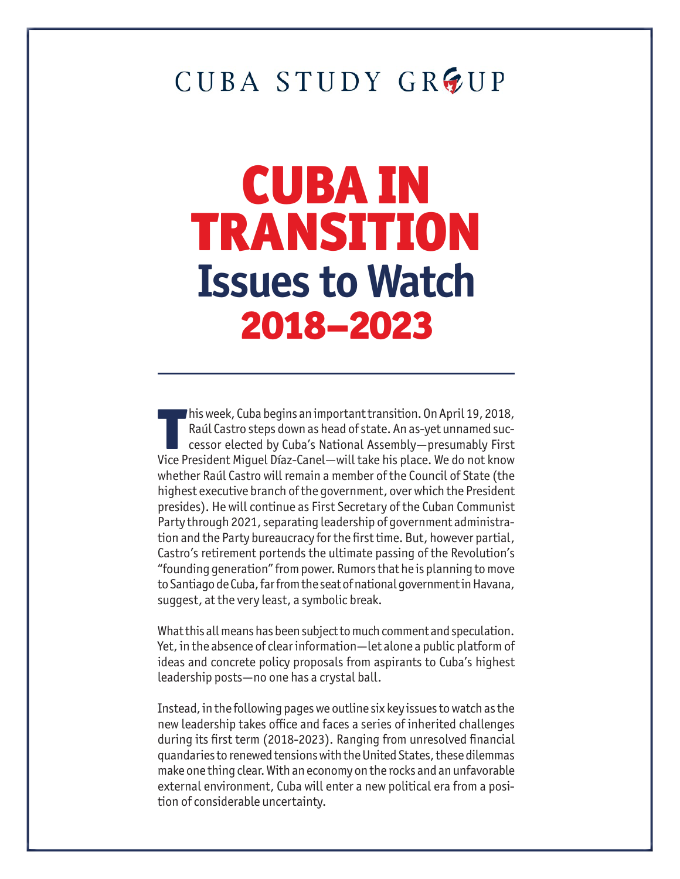# CUBA STUDY GROUP

# CUBA IN TRANSITION **Issues to Watch** 2018–2023

This week, Cuba begins an important transition. On April 19, 2018,<br>Raúl Castro steps down as head of state. An as-yet unnamed suc-<br>cessor elected by Cuba's National Assembly—presumably First<br>Vice President Miguel Díaz-Cane his week, Cuba begins an important transition. On April 19, 2018, Raúl Castro steps down as head of state. An as-yet unnamed successor elected by Cuba's National Assembly—presumably First whether Raúl Castro will remain a member of the Council of State (the highest executive branch of the government, over which the President presides). He will continue as First Secretary of the Cuban Communist Party through 2021, separating leadership of government administration and the Party bureaucracy for the first time. But, however partial, Castro's retirement portends the ultimate passing of the Revolution's "founding generation" from power. Rumors that he is planning to move to Santiago de Cuba, far from the seat of national government in Havana, suggest, at the very least, a symbolic break.

What this all means has been subject to much comment and speculation. Yet, in the absence of clear information—let alone a public platform of ideas and concrete policy proposals from aspirants to Cuba's highest leadership posts—no one has a crystal ball.

Instead, in the following pages we outline six key issues to watch as the new leadership takes office and faces a series of inherited challenges during its first term (2018-2023). Ranging from unresolved financial quandaries to renewed tensions with the United States, these dilemmas make one thing clear. With an economy on the rocks and an unfavorable external environment, Cuba will enter a new political era from a position of considerable uncertainty.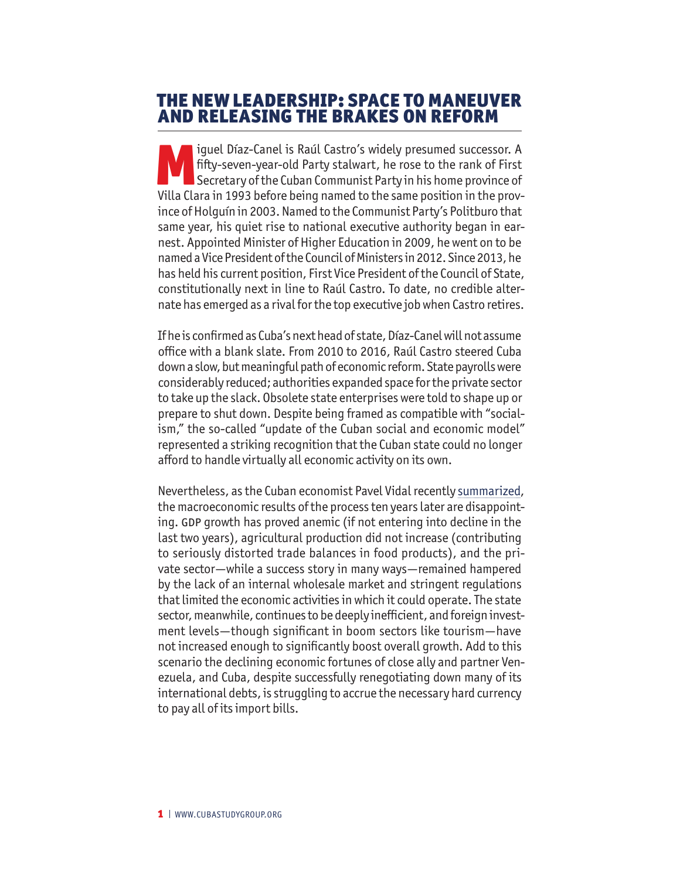#### THE NEW LEADERSHIP: SPACE TO MANEUVER AND RELEASING THE BRAKES ON REFORM

Iguel Díaz-Canel is Raúl Castro's widely presumed successor. A<br>fifty-seven-year-old Party stalwart, he rose to the rank of First<br>Secretary of the Cuban Communist Party in his home province of<br>Villa Clara in 1993 before bei fifty-seven-year-old Party stalwart, he rose to the rank of First Secretary of the Cuban Communist Party in his home province of Villa Clara in 1993 before being named to the same position in the province of Holguín in 2003. Named to the Communist Party's Politburo that same year, his quiet rise to national executive authority began in earnest. Appointed Minister of Higher Education in 2009, he went on to be named a Vice President of the Council of Ministers in 2012. Since 2013, he has held his current position, First Vice President of the Council of State, constitutionally next in line to Raúl Castro. To date, no credible alternate has emerged as a rival for the top executive job when Castro retires.

If he is confirmed as Cuba's next head of state, Díaz-Canel will not assume office with a blank slate. From 2010 to 2016, Raúl Castro steered Cuba down a slow, but meaningful path of economic reform. State payrolls were considerably reduced; authorities expanded space for the private sector to take up the slack. Obsolete state enterprises were told to shape up or prepare to shut down. Despite being framed as compatible with "socialism," the so-called "update of the Cuban social and economic model" represented a striking recognition that the Cuban state could no longer afford to handle virtually all economic activity on its own.

Nevertheless, as the Cuban economist Pavel Vidal recently [summarized,](http://www.cubastudygroup.org/index.cfm/files/serve?File_id=046febac-1f56-4690-8107-a6e6568c5bf0) the macroeconomic results of the process ten years later are disappointing. GDP growth has proved anemic (if not entering into decline in the last two years), agricultural production did not increase (contributing to seriously distorted trade balances in food products), and the private sector—while a success story in many ways—remained hampered by the lack of an internal wholesale market and stringent regulations that limited the economic activities in which it could operate. The state sector, meanwhile, continues to be deeply inefficient, and foreign investment levels—though significant in boom sectors like tourism—have not increased enough to significantly boost overall growth. Add to this scenario the declining economic fortunes of close ally and partner Venezuela, and Cuba, despite successfully renegotiating down many of its international debts, is struggling to accrue the necessary hard currency to pay all of its import bills.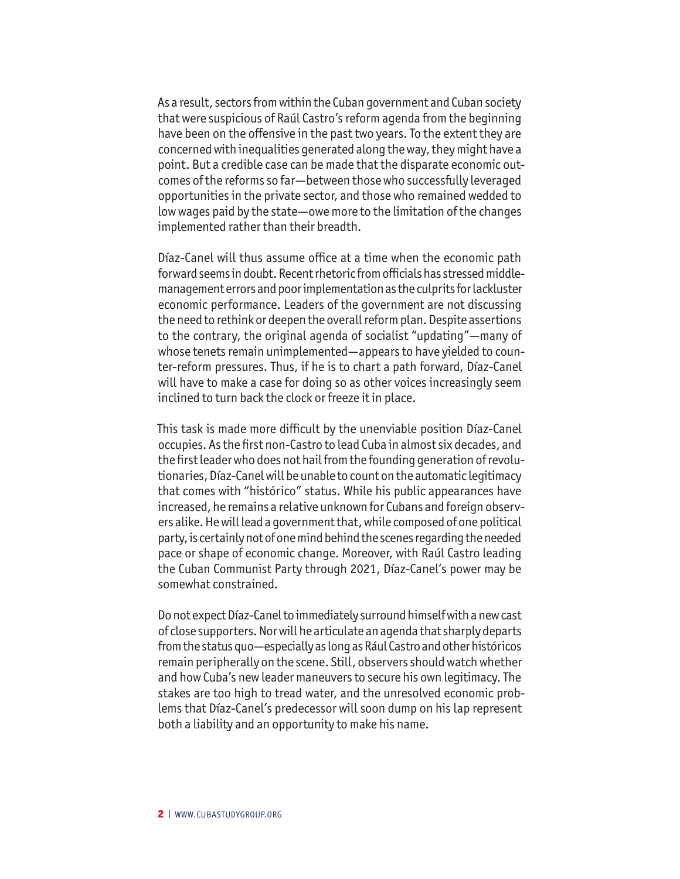As a result, sectors from within the Cuban government and Cuban society that were suspicious of Raúl Castro's reform agenda from the beginning have been on the offensive in the past two years. To the extent they are concerned with inequalities generated along the way, they might have a point. But a credible case can be made that the disparate economic outcomes of the reforms so far—between those who successfully leveraged opportunities in the private sector, and those who remained wedded to low wages paid by the state—owe more to the limitation of the changes implemented rather than their breadth.

Díaz-Canel will thus assume office at a time when the economic path forward seems in doubt. Recent rhetoric from officials has stressed middlemanagement errors and poor implementation as the culprits for lackluster economic performance. Leaders of the government are not discussing the need to rethink or deepen the overall reform plan. Despite assertions to the contrary, the original agenda of socialist "updating"—many of whose tenets remain unimplemented—appears to have yielded to counter-reform pressures. Thus, if he is to chart a path forward, Díaz-Canel will have to make a case for doing so as other voices increasingly seem inclined to turn back the clock or freeze it in place.

This task is made more difficult by the unenviable position Díaz-Canel occupies. As the first non-Castro to lead Cuba in almost six decades, and the first leader who does not hail from the founding generation of revolutionaries, Díaz-Canel will be unable to count on the automatic legitimacy that comes with "histórico" status. While his public appearances have increased, he remains a relative unknown for Cubans and foreign observers alike. He will lead a government that, while composed of one political party, is certainly not of one mind behind the scenes regarding the needed pace or shape of economic change. Moreover, with Raúl Castro leading the Cuban Communist Party through 2021, Díaz-Canel's power may be somewhat constrained.

Do not expect Díaz-Canel to immediately surround himself with a new cast of close supporters. Nor will he articulate an agenda that sharply departs from the status quo—especially as long as Rául Castro and other históricos remain peripherally on the scene. Still, observers should watch whether and how Cuba's new leader maneuvers to secure his own legitimacy. The stakes are too high to tread water, and the unresolved economic problems that Díaz-Canel's predecessor will soon dump on his lap represent both a liability and an opportunity to make his name.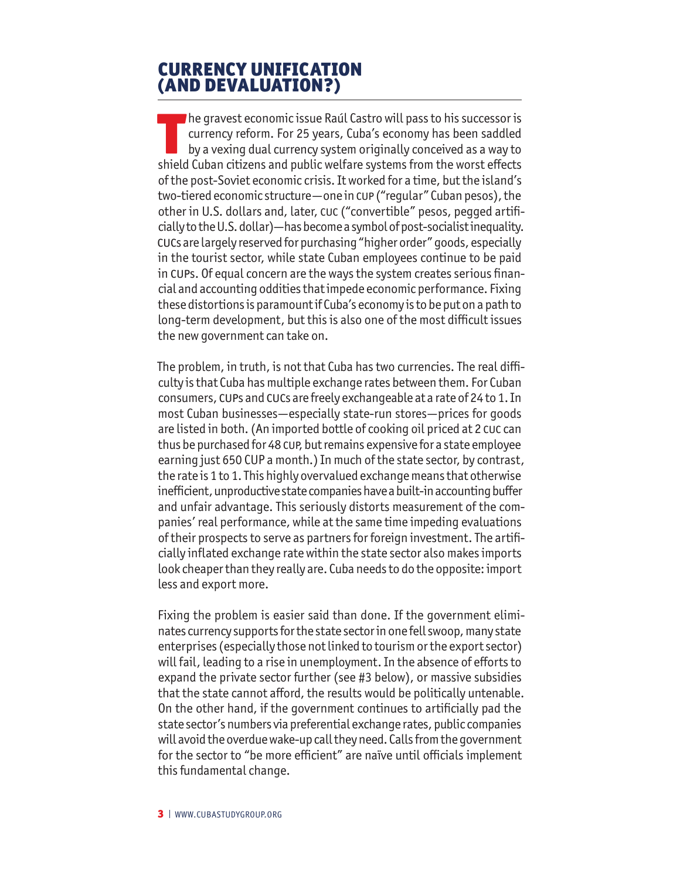#### CURRENCY UNIFICATION (AND DEVALUATION?)

The gravest economic issue Raúl Castro will pass to his successor is currency reform. For 25 years, Cuba's economy has been saddled by a vexing dual currency system originally conceived as a way to shield Cuban citizens and public welfare systems from the worst effects of the post-Soviet economic crisis. It worked for a time, but the island's two-tiered economic structure — one in cup ("regular" Cuban pesos), the other in U.S. dollars and, later, cuc ("convertible" pesos, pegged artificially to the U.S. dollar)—has become a symbol of post-socialist inequality. cucs are largely reserved for purchasing "higher order" goods, especially in the tourist sector, while state Cuban employees continue to be paid in cups. Of equal concern are the ways the system creates serious financial and accounting oddities that impede economic performance. Fixing these distortions is paramount if Cuba's economy is to be put on a path to long-term development, but this is also one of the most difficult issues the new government can take on.

The problem, in truth, is not that Cuba has two currencies. The real difficulty is that Cuba has multiple exchange rates between them. For Cuban consumers, cups and cucs are freely exchangeable at a rate of 24 to 1. In most Cuban businesses—especially state-run stores—prices for goods are listed in both. (An imported bottle of cooking oil priced at 2 cuc can thus be purchased for 48 cup, but remains expensive for a state employee earning just 650 CUP a month.) In much of the state sector, by contrast, the rate is 1 to 1. This highly overvalued exchange means that otherwise inefficient, unproductive state companies have a built-in accounting buffer and unfair advantage. This seriously distorts measurement of the companies' real performance, while at the same time impeding evaluations of their prospects to serve as partners for foreign investment. The artificially inflated exchange rate within the state sector also makes imports look cheaper than they really are. Cuba needs to do the opposite: import less and export more.

Fixing the problem is easier said than done. If the government eliminates currency supports for the state sector in one fell swoop, many state enterprises (especially those not linked to tourism or the export sector) will fail, leading to a rise in unemployment. In the absence of efforts to expand the private sector further (see #3 below), or massive subsidies that the state cannot afford, the results would be politically untenable. On the other hand, if the government continues to artificially pad the state sector's numbers via preferential exchange rates, public companies will avoid the overdue wake-up call they need. Calls from the government for the sector to "be more efficient" are naïve until officials implement this fundamental change.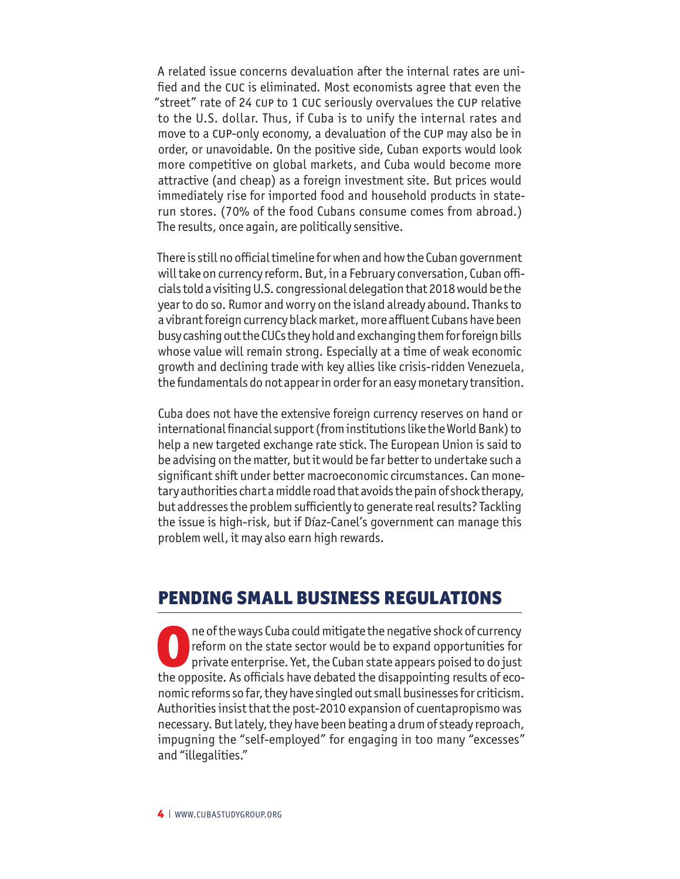A related issue concerns devaluation after the internal rates are unified and the cuc is eliminated. Most economists agree that even the "street" rate of 24 cup to 1 cuc seriously overvalues the cup relative to the U.S. dollar. Thus, if Cuba is to unify the internal rates and move to a cup-only economy, a devaluation of the cup may also be in order, or unavoidable. On the positive side, Cuban exports would look more competitive on global markets, and Cuba would become more attractive (and cheap) as a foreign investment site. But prices would immediately rise for imported food and household products in staterun stores. (70% of the food Cubans consume comes from abroad.) The results, once again, are politically sensitive.

There is still no official timeline for when and how the Cuban government will take on currency reform. But, in a February conversation, Cuban officials told a visiting U.S. congressional delegation that 2018 would be the year to do so. Rumor and worry on the island already abound. Thanks to a vibrant foreign currency black market, more affluent Cubans have been busy cashing out the CUCs they hold and exchanging them for foreign bills whose value will remain strong. Especially at a time of weak economic growth and declining trade with key allies like crisis-ridden Venezuela, the fundamentals do not appear in order for an easy monetary transition.

Cuba does not have the extensive foreign currency reserves on hand or international financial support (from institutions like the World Bank) to help a new targeted exchange rate stick. The European Union is said to be advising on the matter, but it would be far better to undertake such a significant shift under better macroeconomic circumstances. Can monetary authorities chart a middle road that avoids the pain of shock therapy, but addresses the problem sufficiently to generate real results? Tackling the issue is high-risk, but if Díaz-Canel's government can manage this problem well, it may also earn high rewards.

### PENDING SMALL BUSINESS REGULATIONS

ne of the ways Cuba could mitigate the negative shock of currency<br>reform on the state sector would be to expand opportunities for<br>private enterprise. Yet, the Cuban state appears poised to do just<br>the opposite. As official reform on the state sector would be to expand opportunities for private enterprise. Yet, the Cuban state appears poised to do just the opposite. As officials have debated the disappointing results of economic reforms so far, they have singled out small businesses for criticism. Authorities insist that the post-2010 expansion of cuentapropismo was necessary. But lately, they have been beating a drum of steady reproach, impugning the "self-employed" for engaging in too many "excesses" and "illegalities."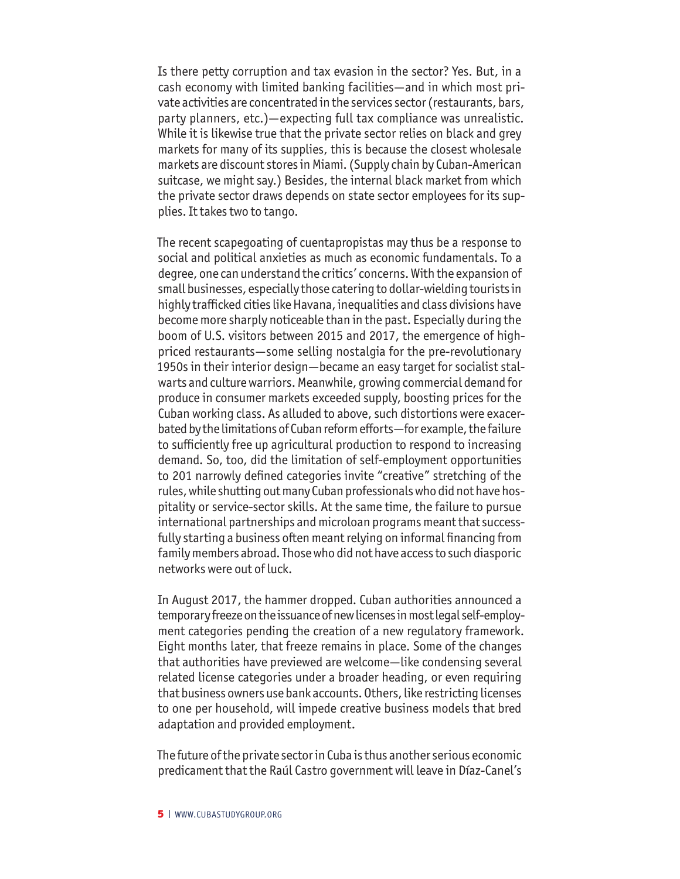Is there petty corruption and tax evasion in the sector? Yes. But, in a cash economy with limited banking facilities—and in which most private activities are concentrated in the services sector (restaurants, bars, party planners, etc.)—expecting full tax compliance was unrealistic. While it is likewise true that the private sector relies on black and grey markets for many of its supplies, this is because the closest wholesale markets are discount stores in Miami. (Supply chain by Cuban-American suitcase, we might say.) Besides, the internal black market from which the private sector draws depends on state sector employees for its supplies. It takes two to tango.

The recent scapegoating of cuentapropistas may thus be a response to social and political anxieties as much as economic fundamentals. To a degree, one can understand the critics' concerns. With the expansion of small businesses, especially those catering to dollar-wielding tourists in highly trafficked cities like Havana, inequalities and class divisions have become more sharply noticeable than in the past. Especially during the boom of U.S. visitors between 2015 and 2017, the emergence of highpriced restaurants—some selling nostalgia for the pre-revolutionary 1950s in their interior design—became an easy target for socialist stalwarts and culture warriors. Meanwhile, growing commercial demand for produce in consumer markets exceeded supply, boosting prices for the Cuban working class. As alluded to above, such distortions were exacerbated by the limitations of Cuban reform efforts—for example, the failure to sufficiently free up agricultural production to respond to increasing demand. So, too, did the limitation of self-employment opportunities to 201 narrowly defined categories invite "creative" stretching of the rules, while shutting out many Cuban professionals who did not have hospitality or service-sector skills. At the same time, the failure to pursue international partnerships and microloan programs meant that successfully starting a business often meant relying on informal financing from family members abroad. Those who did not have access to such diasporic networks were out of luck.

In August 2017, the hammer dropped. Cuban authorities announced a temporary freeze on the issuance of new licenses in most legal self-employment categories pending the creation of a new regulatory framework. Eight months later, that freeze remains in place. Some of the changes that authorities have previewed are welcome—like condensing several related license categories under a broader heading, or even requiring that business owners use bank accounts. Others, like restricting licenses to one per household, will impede creative business models that bred adaptation and provided employment.

The future of the private sector in Cuba is thus another serious economic predicament that the Raúl Castro government will leave in Díaz-Canel's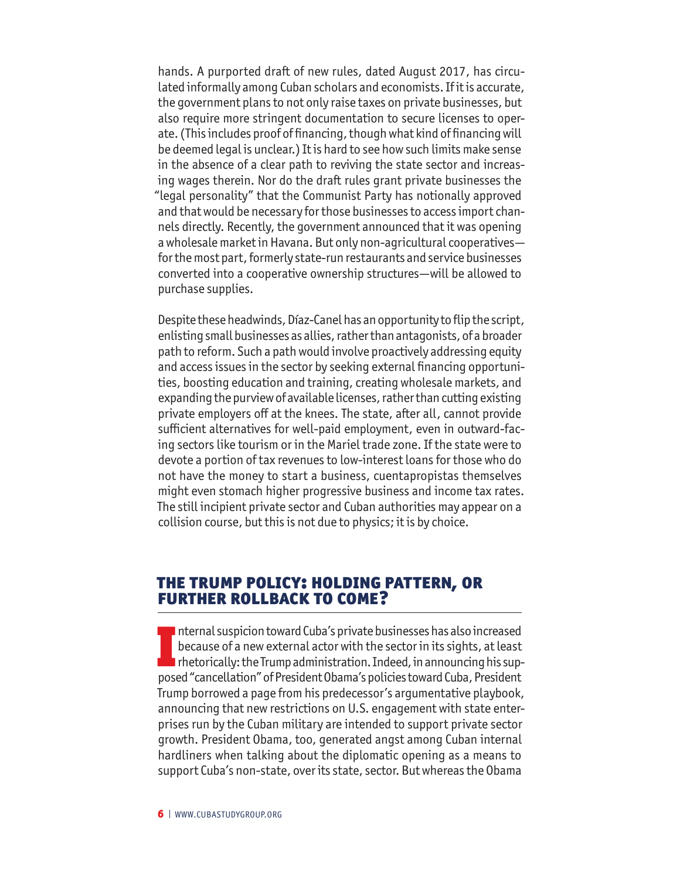hands. A purported draft of new rules, dated August 2017, has circulated informally among Cuban scholars and economists. If it is accurate, the government plans to not only raise taxes on private businesses, but also require more stringent documentation to secure licenses to operate. (This includes proof of financing, though what kind of financing will be deemed legal is unclear.) It is hard to see how such limits make sense in the absence of a clear path to reviving the state sector and increasing wages therein. Nor do the draft rules grant private businesses the "legal personality" that the Communist Party has notionally approved and that would be necessary for those businesses to access import channels directly. Recently, the government announced that it was opening a wholesale market in Havana. But only non-agricultural cooperatives for the most part, formerly state-run restaurants and service businesses converted into a cooperative ownership structures—will be allowed to purchase supplies.

Despite these headwinds, Díaz-Canel has an opportunity to flip the script, enlisting small businesses as allies, rather than antagonists, of a broader path to reform. Such a path would involve proactively addressing equity and access issues in the sector by seeking external financing opportunities, boosting education and training, creating wholesale markets, and expanding the purview of available licenses, rather than cutting existing private employers off at the knees. The state, after all, cannot provide sufficient alternatives for well-paid employment, even in outward-facing sectors like tourism or in the Mariel trade zone. If the state were to devote a portion of tax revenues to low-interest loans for those who do not have the money to start a business, cuentapropistas themselves might even stomach higher progressive business and income tax rates. The still incipient private sector and Cuban authorities may appear on a collision course, but this is not due to physics; it is by choice.

#### The Trump Policy: Holding Pattern, or Further Rollback to Come?

Internal suspicion toward Cuba's private businesses has also increased<br>because of a new external actor with the sector in its sights, at least<br>rhetorically: the Trump administration. Indeed, in announcing his sup-<br>posed "c nternal suspicion toward Cuba's private businesses has also increased because of a new external actor with the sector in its sights, at least  $\blacksquare$  rhetorically: the Trump administration. Indeed, in announcing his sup-Trump borrowed a page from his predecessor's argumentative playbook, announcing that new restrictions on U.S. engagement with state enterprises run by the Cuban military are intended to support private sector growth. President Obama, too, generated angst among Cuban internal hardliners when talking about the diplomatic opening as a means to support Cuba's non-state, over its state, sector. But whereas the Obama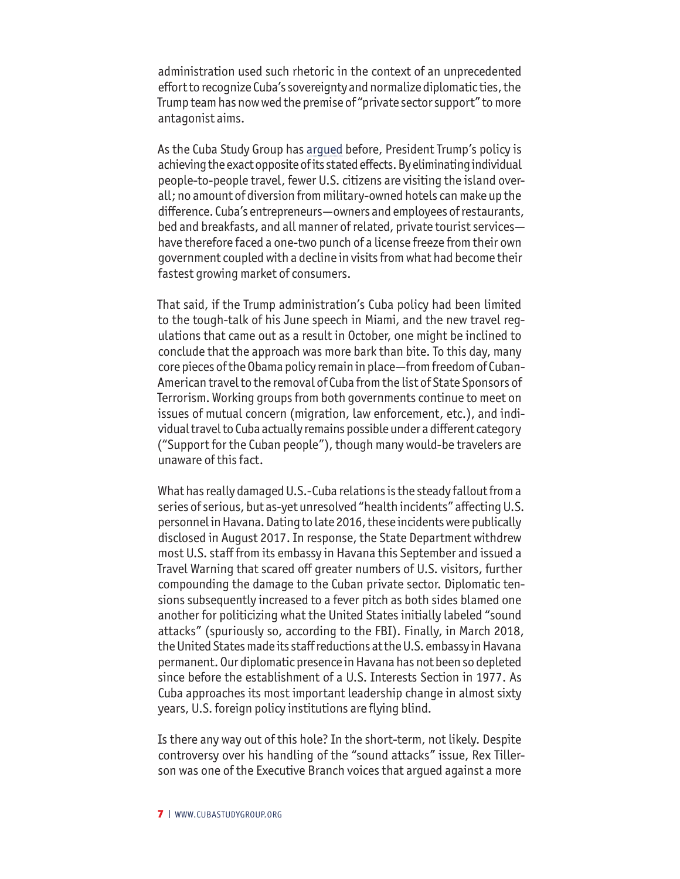administration used such rhetoric in the context of an unprecedented effort to recognize Cuba's sovereignty and normalize diplomatic ties, the Trump team has now wed the premise of "private sector support" to more antagonist aims.

As the Cuba Study Group has [argued](http://www.cubastudygroup.org/index.cfm/files/serve?File_id=178c9d8c-cef8-4be8-9001-90038bdee212) before, President Trump's policy is achieving the exact opposite of its stated effects. By eliminating individual people-to-people travel, fewer U.S. citizens are visiting the island overall; no amount of diversion from military-owned hotels can make up the difference. Cuba's entrepreneurs—owners and employees of restaurants, bed and breakfasts, and all manner of related, private tourist services have therefore faced a one-two punch of a license freeze from their own government coupled with a decline in visits from what had become their fastest growing market of consumers.

That said, if the Trump administration's Cuba policy had been limited to the tough-talk of his June speech in Miami, and the new travel regulations that came out as a result in October, one might be inclined to conclude that the approach was more bark than bite. To this day, many core pieces of the Obama policy remain in place—from freedom of Cuban-American travel to the removal of Cuba from the list of State Sponsors of Terrorism. Working groups from both governments continue to meet on issues of mutual concern (migration, law enforcement, etc.), and individual travel to Cuba actually remains possible under a different category ("Support for the Cuban people"), though many would-be travelers are unaware of this fact.

What has really damaged U.S.-Cuba relations is the steady fallout from a series of serious, but as-yet unresolved "health incidents" affecting U.S. personnel in Havana. Dating to late 2016, these incidents were publically disclosed in August 2017. In response, the State Department withdrew most U.S. staff from its embassy in Havana this September and issued a Travel Warning that scared off greater numbers of U.S. visitors, further compounding the damage to the Cuban private sector. Diplomatic tensions subsequently increased to a fever pitch as both sides blamed one another for politicizing what the United States initially labeled "sound attacks" (spuriously so, according to the FBI). Finally, in March 2018, the United States made its staff reductions at the U.S. embassy in Havana permanent. Our diplomatic presence in Havana has not been so depleted since before the establishment of a U.S. Interests Section in 1977. As Cuba approaches its most important leadership change in almost sixty years, U.S. foreign policy institutions are flying blind.

Is there any way out of this hole? In the short-term, not likely. Despite controversy over his handling of the "sound attacks" issue, Rex Tillerson was one of the Executive Branch voices that argued against a more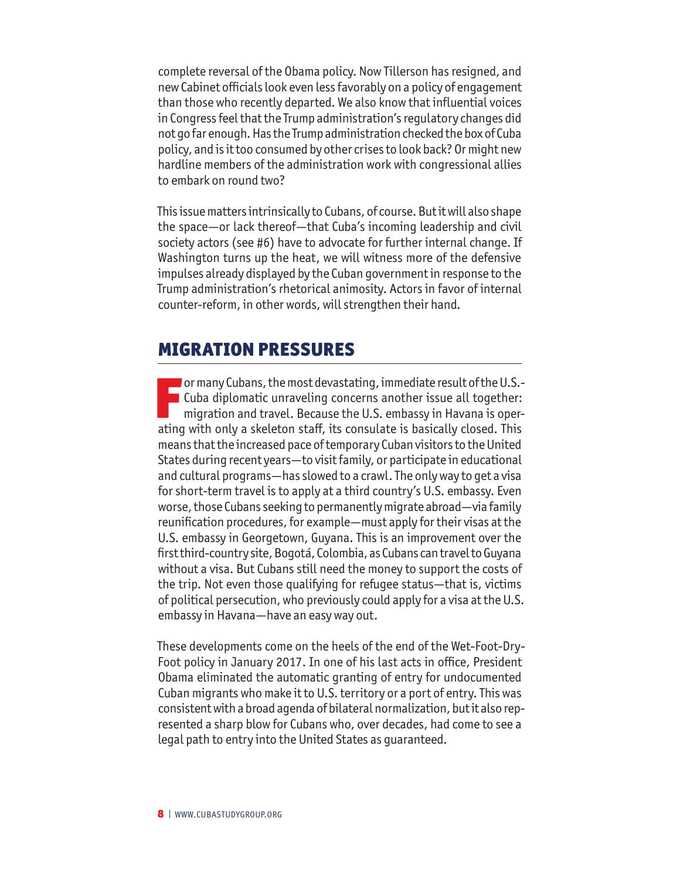complete reversal of the Obama policy. Now Tillerson has resigned, and new Cabinet officials look even less favorably on a policy of engagement than those who recently departed. We also know that influential voices in Congress feel that the Trump administration's regulatory changes did not go far enough. Has the Trump administration checked the box of Cuba policy, and is it too consumed by other crises to look back? Or might new hardline members of the administration work with congressional allies to embark on round two?

This issue matters intrinsically to Cubans, of course. But it will also shape the space—or lack thereof—that Cuba's incoming leadership and civil society actors (see #6) have to advocate for further internal change. If Washington turns up the heat, we will witness more of the defensive impulses already displayed by the Cuban government in response to the Trump administration's rhetorical animosity. Actors in favor of internal counter-reform, in other words, will strengthen their hand.

#### MIGRATION PRESSURES

For many Cubans, the most devastating, immediate result of the U.S.-<br>Cuba diplomatic unraveling concerns another issue all together:<br>migration and travel. Because the U.S. embassy in Havana is oper-<br>ating with only a skele Cuba diplomatic unraveling concerns another issue all together: migration and travel. Because the U.S. embassy in Havana is operating with only a skeleton staff, its consulate is basically closed. This means that the increased pace of temporary Cuban visitors to the United States during recent years—to visit family, or participate in educational and cultural programs—has slowed to a crawl. The only way to get a visa for short-term travel is to apply at a third country's U.S. embassy. Even worse, those Cubans seeking to permanently migrate abroad—via family reunification procedures, for example—must apply for their visas at the U.S. embassy in Georgetown, Guyana. This is an improvement over the first third-country site, Bogotá, Colombia, as Cubans can travel to Guyana without a visa. But Cubans still need the money to support the costs of the trip. Not even those qualifying for refugee status—that is, victims of political persecution, who previously could apply for a visa at the U.S. embassy in Havana—have an easy way out.

These developments come on the heels of the end of the Wet-Foot-Dry-Foot policy in January 2017. In one of his last acts in office, President Obama eliminated the automatic granting of entry for undocumented Cuban migrants who make it to U.S. territory or a port of entry. This was consistent with a broad agenda of bilateral normalization, but it also represented a sharp blow for Cubans who, over decades, had come to see a legal path to entry into the United States as guaranteed.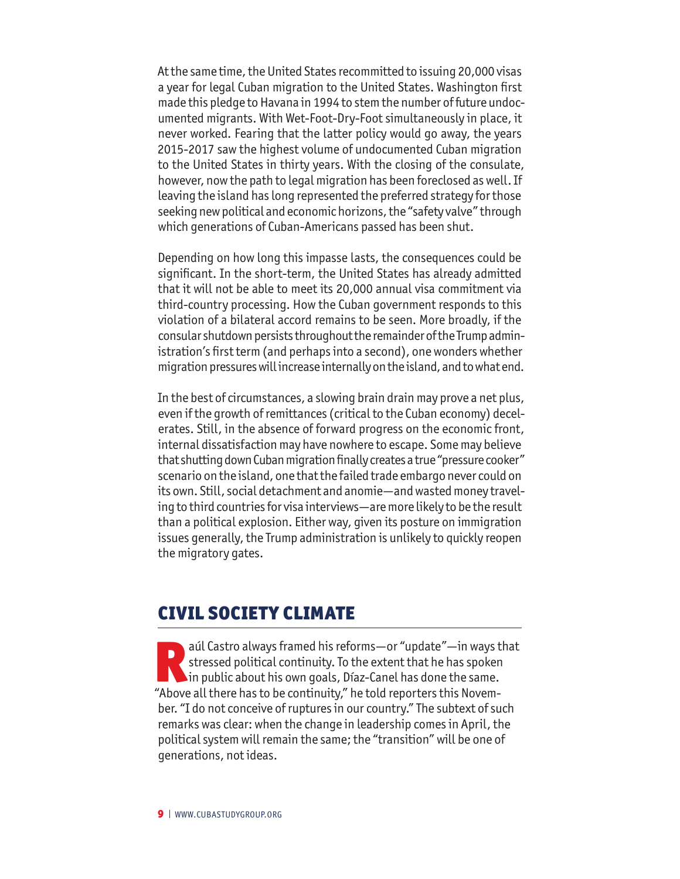At the same time, the United States recommitted to issuing 20,000 visas a year for legal Cuban migration to the United States. Washington first made this pledge to Havana in 1994 to stem the number of future undocumented migrants. With Wet-Foot-Dry-Foot simultaneously in place, it never worked. Fearing that the latter policy would go away, the years 2015-2017 saw the highest volume of undocumented Cuban migration to the United States in thirty years. With the closing of the consulate, however, now the path to legal migration has been foreclosed as well. If leaving the island has long represented the preferred strategy for those seeking new political and economic horizons, the "safety valve" through which generations of Cuban-Americans passed has been shut.

Depending on how long this impasse lasts, the consequences could be significant. In the short-term, the United States has already admitted that it will not be able to meet its 20,000 annual visa commitment via third-country processing. How the Cuban government responds to this violation of a bilateral accord remains to be seen. More broadly, if the consular shutdown persists throughout the remainder of the Trump administration's first term (and perhaps into a second), one wonders whether migration pressures will increase internally on the island, and to what end.

In the best of circumstances, a slowing brain drain may prove a net plus, even if the growth of remittances (critical to the Cuban economy) decelerates. Still, in the absence of forward progress on the economic front, internal dissatisfaction may have nowhere to escape. Some may believe that shutting down Cuban migration finally creates a true "pressure cooker" scenario on the island, one that the failed trade embargo never could on its own. Still, social detachment and anomie—and wasted money traveling to third countries for visa interviews—are more likely to be the result than a political explosion. Either way, given its posture on immigration issues generally, the Trump administration is unlikely to quickly reopen the migratory gates.

#### CIVIL SOCIETY CLIMATE

aúl Castro always framed his reforms—or "update"—in ways that<br>stressed political continuity. To the extent that he has spoken<br>in public about his own goals, Díaz-Canel has done the same.<br>"Above all there has to be continui stressed political continuity. To the extent that he has spoken in public about his own goals, Díaz-Canel has done the same. "Above all there has to be continuity," he told reporters this November. "I do not conceive of ruptures in our country." The subtext of such remarks was clear: when the change in leadership comes in April, the political system will remain the same; the "transition" will be one of generations, not ideas.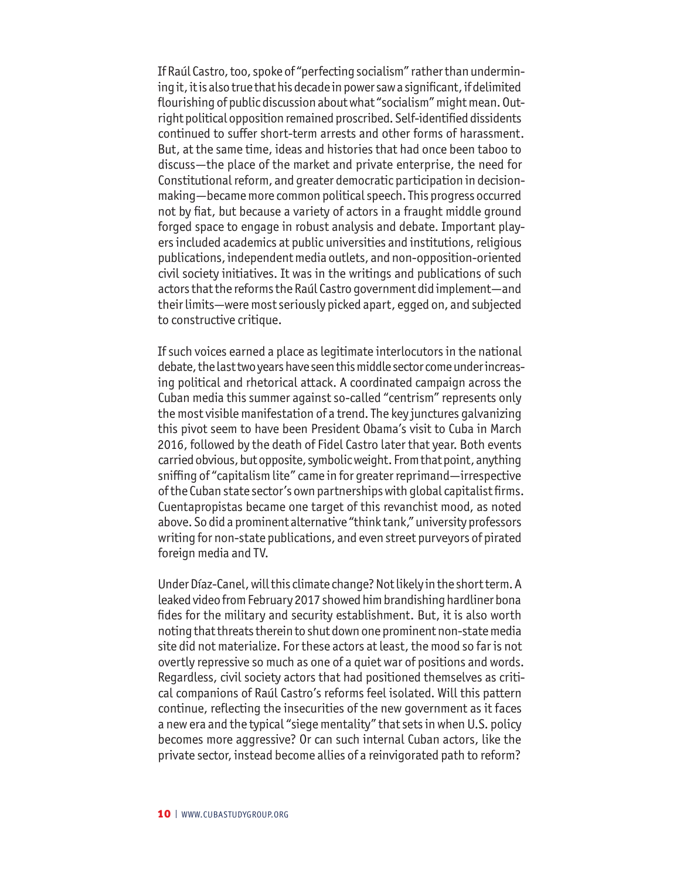If Raúl Castro, too, spoke of "perfecting socialism" rather than undermining it, it is also true that his decade in power saw a significant, if delimited flourishing of public discussion about what "socialism" might mean. Outright political opposition remained proscribed. Self-identified dissidents continued to suffer short-term arrests and other forms of harassment. But, at the same time, ideas and histories that had once been taboo to discuss—the place of the market and private enterprise, the need for Constitutional reform, and greater democratic participation in decisionmaking—became more common political speech. This progress occurred not by fiat, but because a variety of actors in a fraught middle ground forged space to engage in robust analysis and debate. Important players included academics at public universities and institutions, religious publications, independent media outlets, and non-opposition-oriented civil society initiatives. It was in the writings and publications of such actors that the reforms the Raúl Castro government did implement—and their limits—were most seriously picked apart, egged on, and subjected to constructive critique.

If such voices earned a place as legitimate interlocutors in the national debate, the last two years have seen this middle sector come under increasing political and rhetorical attack. A coordinated campaign across the Cuban media this summer against so-called "centrism" represents only the most visible manifestation of a trend. The key junctures galvanizing this pivot seem to have been President Obama's visit to Cuba in March 2016, followed by the death of Fidel Castro later that year. Both events carried obvious, but opposite, symbolic weight. From that point, anything sniffing of "capitalism lite" came in for greater reprimand—irrespective of the Cuban state sector's own partnerships with global capitalist firms. Cuentapropistas became one target of this revanchist mood, as noted above. So did a prominent alternative "think tank," university professors writing for non-state publications, and even street purveyors of pirated foreign media and TV.

Under Díaz-Canel, will this climate change? Not likely in the short term. A leaked video from February 2017 showed him brandishing hardliner bona fides for the military and security establishment. But, it is also worth noting that threats therein to shut down one prominent non-state media site did not materialize. For these actors at least, the mood so far is not overtly repressive so much as one of a quiet war of positions and words. Regardless, civil society actors that had positioned themselves as critical companions of Raúl Castro's reforms feel isolated. Will this pattern continue, reflecting the insecurities of the new government as it faces a new era and the typical "siege mentality" that sets in when U.S. policy becomes more aggressive? Or can such internal Cuban actors, like the private sector, instead become allies of a reinvigorated path to reform?